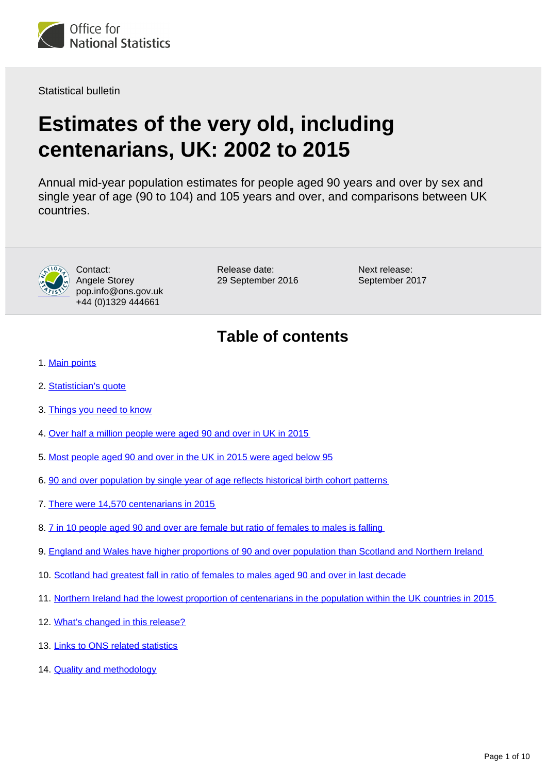

Statistical bulletin

# **Estimates of the very old, including centenarians, UK: 2002 to 2015**

Annual mid-year population estimates for people aged 90 years and over by sex and single year of age (90 to 104) and 105 years and over, and comparisons between UK countries.



Contact: Angele Storey pop.info@ons.gov.uk +44 (0)1329 444661

Release date: 29 September 2016 Next release: September 2017

# **Table of contents**

- 1. [Main points](#page-1-0)
- 2. [Statistician's quote](#page-1-1)
- 3. [Things you need to know](#page-1-2)
- 4. [Over half a million people were aged 90 and over in UK in 2015](#page-1-3)
- 5. [Most people aged 90 and over in the UK in 2015 were aged below 95](#page-3-0)
- 6. [90 and over population by single year of age reflects historical birth cohort patterns](#page-3-1)
- 7. [There were 14,570 centenarians in 2015](#page-4-0)
- 8. [7 in 10 people aged 90 and over are female but ratio of females to males is falling](#page-5-0)
- 9. [England and Wales have higher proportions of 90 and over population than Scotland and Northern Ireland](#page-6-0)
- 10. [Scotland had greatest fall in ratio of females to males aged 90 and over in last decade](#page-7-0)
- 11. [Northern Ireland had the lowest proportion of centenarians in the population within the UK countries in 2015](#page-8-0)
- 12. [What's changed in this release?](#page-9-0)
- 13. [Links to ONS related statistics](#page-9-1)
- 14. [Quality and methodology](#page-9-2)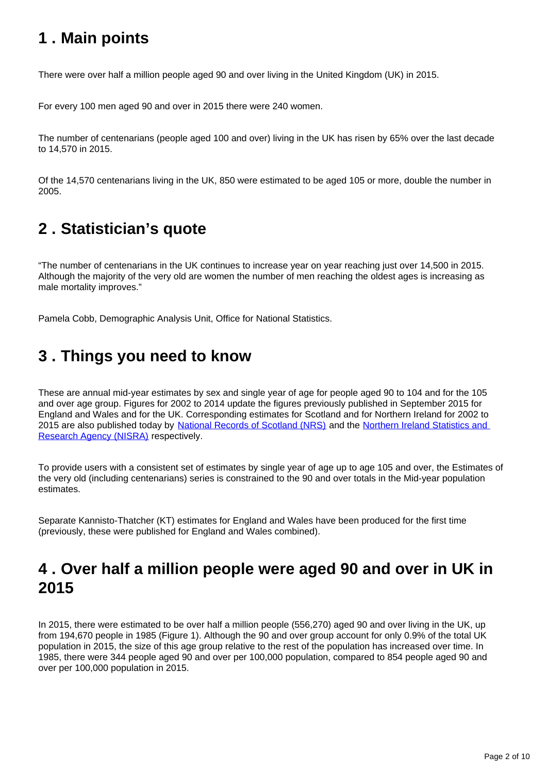### <span id="page-1-0"></span>**1 . Main points**

There were over half a million people aged 90 and over living in the United Kingdom (UK) in 2015.

For every 100 men aged 90 and over in 2015 there were 240 women.

The number of centenarians (people aged 100 and over) living in the UK has risen by 65% over the last decade to 14,570 in 2015.

Of the 14,570 centenarians living in the UK, 850 were estimated to be aged 105 or more, double the number in 2005.

# <span id="page-1-1"></span>**2 . Statistician's quote**

"The number of centenarians in the UK continues to increase year on year reaching just over 14,500 in 2015. Although the majority of the very old are women the number of men reaching the oldest ages is increasing as male mortality improves."

Pamela Cobb, Demographic Analysis Unit, Office for National Statistics.

### <span id="page-1-2"></span>**3 . Things you need to know**

These are annual mid-year estimates by sex and single year of age for people aged 90 to 104 and for the 105 and over age group. Figures for 2002 to 2014 update the figures previously published in September 2015 for England and Wales and for the UK. Corresponding estimates for Scotland and for Northern Ireland for 2002 to 2015 are also published today by [National Records of Scotland \(NRS\)](http://www.nrscotland.gov.uk/statistics-and-data/statistics/statistics-by-theme/population/population-estimates/estimates-of-special-populations/population-estimates-for-scottish-centenarians) and the Northern Ireland Statistics and [Research Agency \(NISRA\)](http://www.nisra.gov.uk/demography/default.asp134.htm) respectively.

To provide users with a consistent set of estimates by single year of age up to age 105 and over, the Estimates of the very old (including centenarians) series is constrained to the 90 and over totals in the Mid-year population estimates.

Separate Kannisto-Thatcher (KT) estimates for England and Wales have been produced for the first time (previously, these were published for England and Wales combined).

# <span id="page-1-3"></span>**4 . Over half a million people were aged 90 and over in UK in 2015**

In 2015, there were estimated to be over half a million people (556,270) aged 90 and over living in the UK, up from 194,670 people in 1985 (Figure 1). Although the 90 and over group account for only 0.9% of the total UK population in 2015, the size of this age group relative to the rest of the population has increased over time. In 1985, there were 344 people aged 90 and over per 100,000 population, compared to 854 people aged 90 and over per 100,000 population in 2015.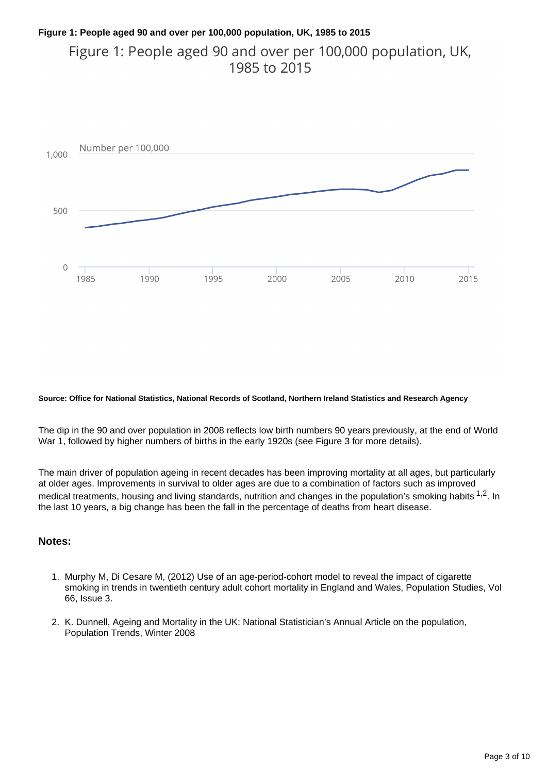#### **Figure 1: People aged 90 and over per 100,000 population, UK, 1985 to 2015**

Figure 1: People aged 90 and over per 100,000 population, UK, 1985 to 2015



#### **Source: Office for National Statistics, National Records of Scotland, Northern Ireland Statistics and Research Agency**

The dip in the 90 and over population in 2008 reflects low birth numbers 90 years previously, at the end of World War 1, followed by higher numbers of births in the early 1920s (see Figure 3 for more details).

The main driver of population ageing in recent decades has been improving mortality at all ages, but particularly at older ages. Improvements in survival to older ages are due to a combination of factors such as improved medical treatments, housing and living standards, nutrition and changes in the population's smoking habits  $1,2$ . In the last 10 years, a big change has been the fall in the percentage of deaths from heart disease.

#### **Notes:**

- 1. Murphy M, Di Cesare M, (2012) Use of an age-period-cohort model to reveal the impact of cigarette smoking in trends in twentieth century adult cohort mortality in England and Wales, Population Studies, Vol 66, Issue 3.
- 2. K. Dunnell, Ageing and Mortality in the UK: National Statistician's Annual Article on the population, Population Trends, Winter 2008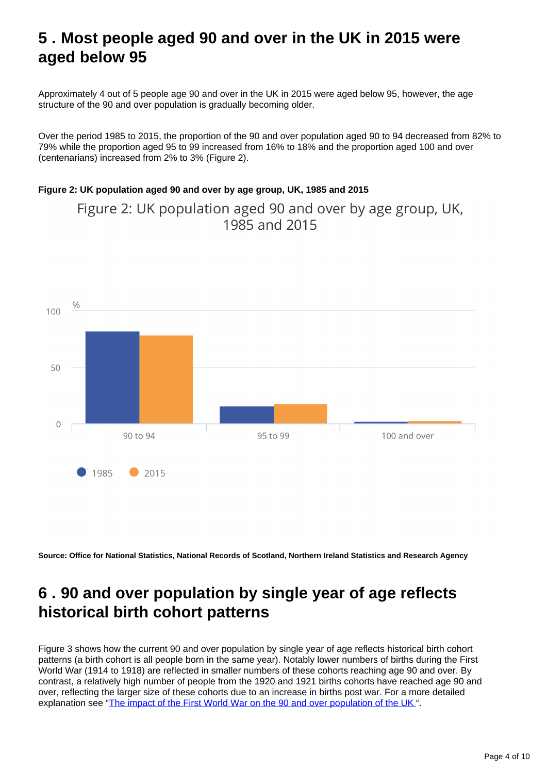### <span id="page-3-0"></span>**5 . Most people aged 90 and over in the UK in 2015 were aged below 95**

Approximately 4 out of 5 people age 90 and over in the UK in 2015 were aged below 95, however, the age structure of the 90 and over population is gradually becoming older.

Over the period 1985 to 2015, the proportion of the 90 and over population aged 90 to 94 decreased from 82% to 79% while the proportion aged 95 to 99 increased from 16% to 18% and the proportion aged 100 and over (centenarians) increased from 2% to 3% (Figure 2).

#### **Figure 2: UK population aged 90 and over by age group, UK, 1985 and 2015**

Figure 2: UK population aged 90 and over by age group, UK, 1985 and 2015



**Source: Office for National Statistics, National Records of Scotland, Northern Ireland Statistics and Research Agency**

### <span id="page-3-1"></span>**6 . 90 and over population by single year of age reflects historical birth cohort patterns**

Figure 3 shows how the current 90 and over population by single year of age reflects historical birth cohort patterns (a birth cohort is all people born in the same year). Notably lower numbers of births during the First World War (1914 to 1918) are reflected in smaller numbers of these cohorts reaching age 90 and over. By contrast, a relatively high number of people from the 1920 and 1921 births cohorts have reached age 90 and over, reflecting the larger size of these cohorts due to an increase in births post war. For a more detailed explanation see "[The impact of the First World War on the 90 and over population of the UK](https://www.ons.gov.uk/peoplepopulationandcommunity/birthsdeathsandmarriages/ageing/articles/theimpactofthefirstworldwaronthe90andoverpopulationoftheuk/2015) ".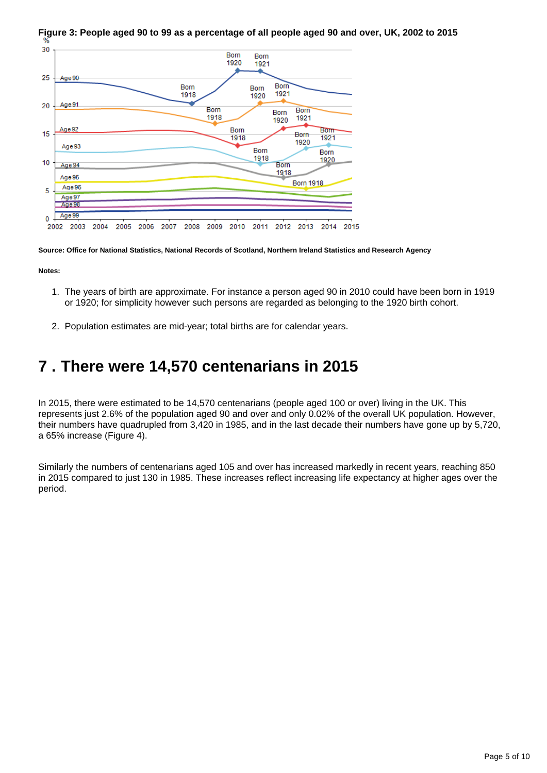

**Figure 3: People aged 90 to 99 as a percentage of all people aged 90 and over, UK, 2002 to 2015**

**Source: Office for National Statistics, National Records of Scotland, Northern Ireland Statistics and Research Agency**

**Notes:**

- 1. The years of birth are approximate. For instance a person aged 90 in 2010 could have been born in 1919 or 1920; for simplicity however such persons are regarded as belonging to the 1920 birth cohort.
- 2. Population estimates are mid-year; total births are for calendar years.

### <span id="page-4-0"></span>**7 . There were 14,570 centenarians in 2015**

In 2015, there were estimated to be 14,570 centenarians (people aged 100 or over) living in the UK. This represents just 2.6% of the population aged 90 and over and only 0.02% of the overall UK population. However, their numbers have quadrupled from 3,420 in 1985, and in the last decade their numbers have gone up by 5,720, a 65% increase (Figure 4).

Similarly the numbers of centenarians aged 105 and over has increased markedly in recent years, reaching 850 in 2015 compared to just 130 in 1985. These increases reflect increasing life expectancy at higher ages over the period.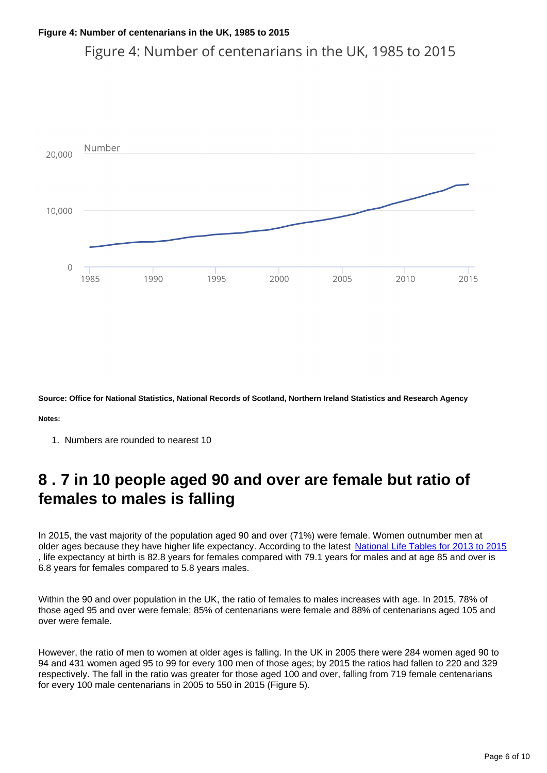Figure 4: Number of centenarians in the UK, 1985 to 2015



**Source: Office for National Statistics, National Records of Scotland, Northern Ireland Statistics and Research Agency**

**Notes:**

1. Numbers are rounded to nearest 10

### <span id="page-5-0"></span>**8 . 7 in 10 people aged 90 and over are female but ratio of females to males is falling**

In 2015, the vast majority of the population aged 90 and over (71%) were female. Women outnumber men at older ages because they have higher life expectancy. According to the latest [National Life Tables for 2013 to 2015](http://www.ons.gov.uk/peoplepopulationandcommunity/birthsdeathsandmarriages/lifeexpectancies/bulletins/nationallifetablesunitedkingdom/previousReleases) , life expectancy at birth is 82.8 years for females compared with 79.1 years for males and at age 85 and over is 6.8 years for females compared to 5.8 years males.

Within the 90 and over population in the UK, the ratio of females to males increases with age. In 2015, 78% of those aged 95 and over were female; 85% of centenarians were female and 88% of centenarians aged 105 and over were female.

However, the ratio of men to women at older ages is falling. In the UK in 2005 there were 284 women aged 90 to 94 and 431 women aged 95 to 99 for every 100 men of those ages; by 2015 the ratios had fallen to 220 and 329 respectively. The fall in the ratio was greater for those aged 100 and over, falling from 719 female centenarians for every 100 male centenarians in 2005 to 550 in 2015 (Figure 5).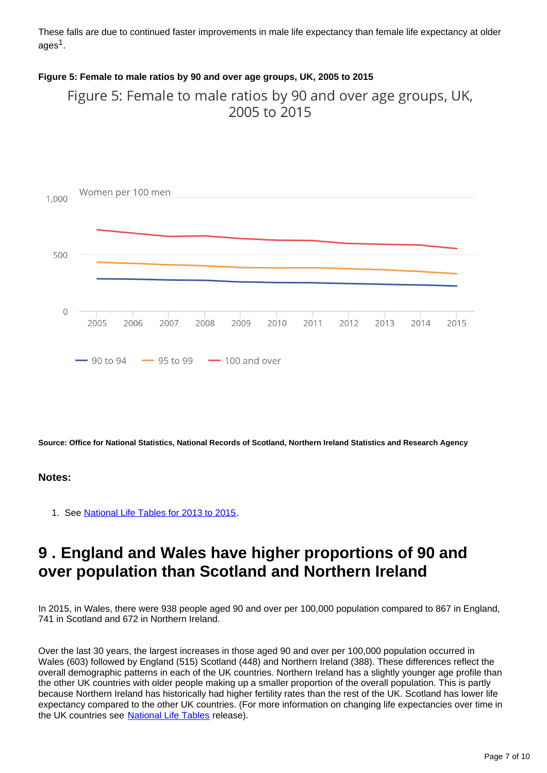These falls are due to continued faster improvements in male life expectancy than female life expectancy at older ages $^{\rm 1}.$ 

#### **Figure 5: Female to male ratios by 90 and over age groups, UK, 2005 to 2015**

Figure 5: Female to male ratios by 90 and over age groups, UK, 2005 to 2015



**Source: Office for National Statistics, National Records of Scotland, Northern Ireland Statistics and Research Agency**

#### **Notes:**

1. See [National Life Tables for 2013 to 2015.](http://www.ons.gov.uk/peoplepopulationandcommunity/birthsdeathsandmarriages/lifeexpectancies/bulletins/nationallifetablesunitedkingdom/previousReleases)

#### <span id="page-6-0"></span>**9 . England and Wales have higher proportions of 90 and over population than Scotland and Northern Ireland**

In 2015, in Wales, there were 938 people aged 90 and over per 100,000 population compared to 867 in England, 741 in Scotland and 672 in Northern Ireland.

Over the last 30 years, the largest increases in those aged 90 and over per 100,000 population occurred in Wales (603) followed by England (515) Scotland (448) and Northern Ireland (388). These differences reflect the overall demographic patterns in each of the UK countries. Northern Ireland has a slightly younger age profile than the other UK countries with older people making up a smaller proportion of the overall population. This is partly because Northern Ireland has historically had higher fertility rates than the rest of the UK. Scotland has lower life expectancy compared to the other UK countries. (For more information on changing life expectancies over time in the UK countries see [National Life Tables](https://www.ons.gov.uk/peoplepopulationandcommunity/birthsdeathsandmarriages/lifeexpectancies/bulletins/nationallifetablesunitedkingdom/previousReleases) release).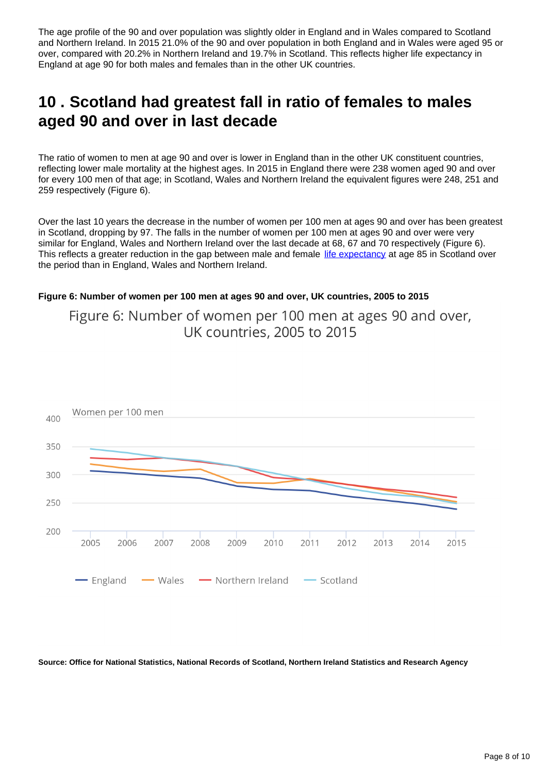The age profile of the 90 and over population was slightly older in England and in Wales compared to Scotland and Northern Ireland. In 2015 21.0% of the 90 and over population in both England and in Wales were aged 95 or over, compared with 20.2% in Northern Ireland and 19.7% in Scotland. This reflects higher life expectancy in England at age 90 for both males and females than in the other UK countries.

### <span id="page-7-0"></span>**10 . Scotland had greatest fall in ratio of females to males aged 90 and over in last decade**

The ratio of women to men at age 90 and over is lower in England than in the other UK constituent countries, reflecting lower male mortality at the highest ages. In 2015 in England there were 238 women aged 90 and over for every 100 men of that age; in Scotland, Wales and Northern Ireland the equivalent figures were 248, 251 and 259 respectively (Figure 6).

Over the last 10 years the decrease in the number of women per 100 men at ages 90 and over has been greatest in Scotland, dropping by 97. The falls in the number of women per 100 men at ages 90 and over were very similar for England, Wales and Northern Ireland over the last decade at 68, 67 and 70 respectively (Figure 6). This reflects a greater reduction in the gap between male and female [life expectancy](https://www.ons.gov.uk/peoplepopulationandcommunity/birthsdeathsandmarriages/lifeexpectancies/bulletins/nationallifetablesunitedkingdom/previousReleases) at age 85 in Scotland over the period than in England, Wales and Northern Ireland.

#### **Figure 6: Number of women per 100 men at ages 90 and over, UK countries, 2005 to 2015**

Figure 6: Number of women per 100 men at ages 90 and over, UK countries, 2005 to 2015



**Source: Office for National Statistics, National Records of Scotland, Northern Ireland Statistics and Research Agency**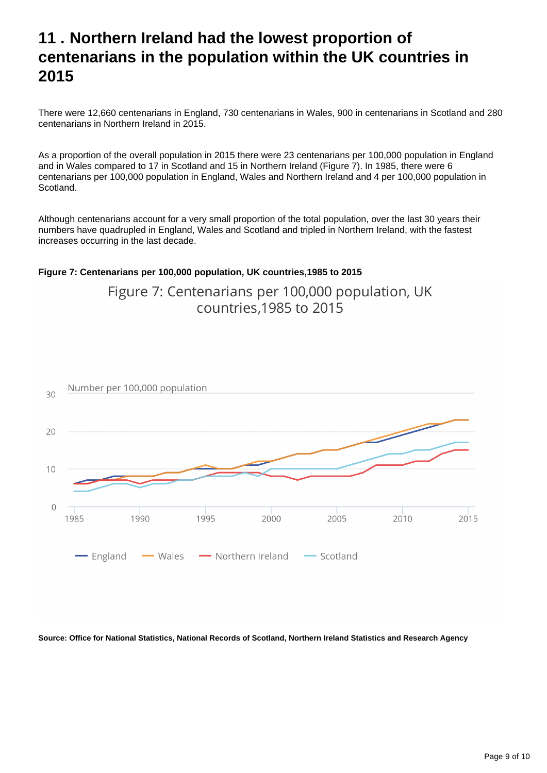### <span id="page-8-0"></span>**11 . Northern Ireland had the lowest proportion of centenarians in the population within the UK countries in 2015**

There were 12,660 centenarians in England, 730 centenarians in Wales, 900 in centenarians in Scotland and 280 centenarians in Northern Ireland in 2015.

As a proportion of the overall population in 2015 there were 23 centenarians per 100,000 population in England and in Wales compared to 17 in Scotland and 15 in Northern Ireland (Figure 7). In 1985, there were 6 centenarians per 100,000 population in England, Wales and Northern Ireland and 4 per 100,000 population in Scotland.

Although centenarians account for a very small proportion of the total population, over the last 30 years their numbers have quadrupled in England, Wales and Scotland and tripled in Northern Ireland, with the fastest increases occurring in the last decade.

#### **Figure 7: Centenarians per 100,000 population, UK countries,1985 to 2015**

Figure 7: Centenarians per 100,000 population, UK countries.1985 to 2015



**Source: Office for National Statistics, National Records of Scotland, Northern Ireland Statistics and Research Agency**